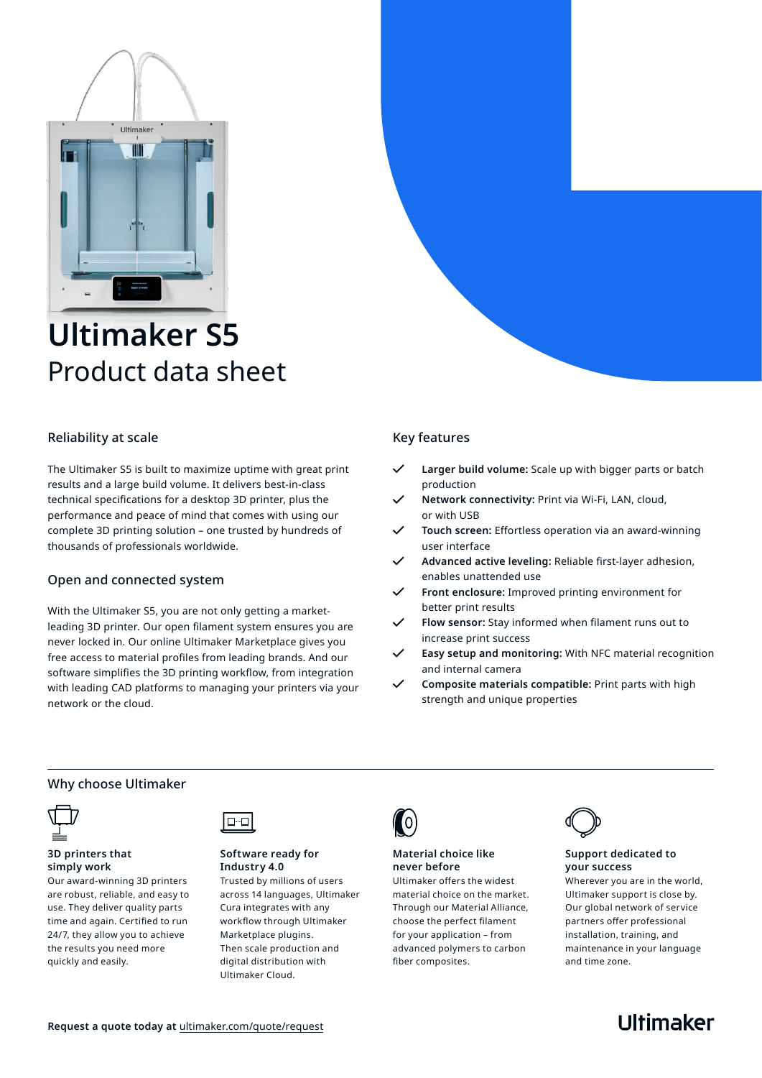

# **Ultimaker S5** Product data sheet

#### Reliability at scale

The Ultimaker S5 is built to maximize uptime with great print results and a large build volume. It delivers best-in-class technical specifications for a desktop 3D printer, plus the performance and peace of mind that comes with using our complete 3D printing solution – one trusted by hundreds of thousands of professionals worldwide.

#### Open and connected system

With the Ultimaker S5, you are not only getting a marketleading 3D printer. Our open filament system ensures you are never locked in. Our online Ultimaker Marketplace gives you free access to material profiles from leading brands. And our software simplifies the 3D printing workflow, from integration with leading CAD platforms to managing your printers via your network or the cloud.

#### Key features

- **Larger build volume:** Scale up with bigger parts or batch production
- **Network connectivity:** Print via Wi-Fi, LAN, cloud, or with USB
- **Touch screen:** Effortless operation via an award-winning user interface
- **Advanced active leveling:** Reliable first-layer adhesion, enables unattended use
- **Front enclosure:** Improved printing environment for better print results
- **Flow sensor:** Stay informed when filament runs out to increase print success
- **Easy setup and monitoring:** With NFC material recognition and internal camera
- **Composite materials compatible:** Print parts with high strength and unique properties

#### Why choose Ultimaker



#### **3D printers that simply work**

Our award-winning 3D printers are robust, reliable, and easy to use. They deliver quality parts time and again. Certified to run 24/7, they allow you to achieve the results you need more quickly and easily.



#### **Software ready for Industry 4.0**

Trusted by millions of users across 14 languages, Ultimaker Cura integrates with any workflow through Ultimaker Marketplace plugins. Then scale production and digital distribution with Ultimaker Cloud.



#### **Material choice like never before**

Ultimaker offers the widest material choice on the market. Through our Material Alliance, choose the perfect filament for your application – from advanced polymers to carbon fiber composites.



#### **Support dedicated to your success**

Wherever you are in the world, Ultimaker support is close by. Our global network of service partners offer professional installation, training, and maintenance in your language and time zone.